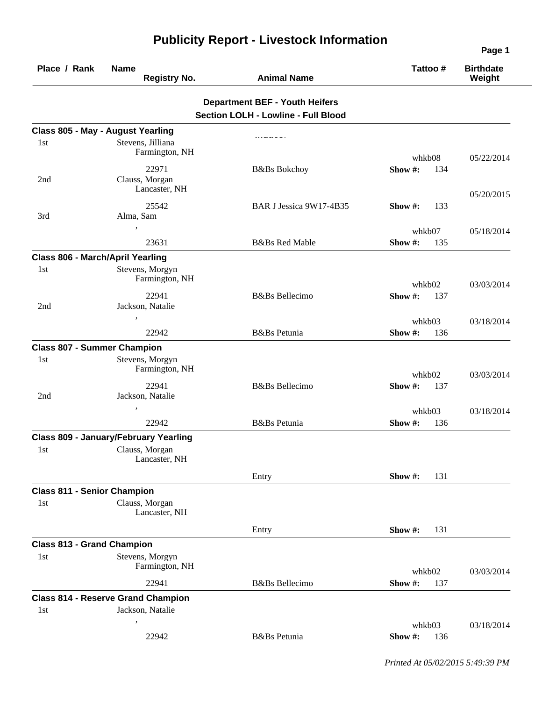| Place / Rank                       | <b>Name</b><br><b>Registry No.</b>           | <b>Animal Name</b>                         | Tattoo #           | <b>Birthdate</b><br>Weight |
|------------------------------------|----------------------------------------------|--------------------------------------------|--------------------|----------------------------|
|                                    |                                              | <b>Department BEF - Youth Heifers</b>      |                    |                            |
|                                    |                                              | <b>Section LOLH - Lowline - Full Blood</b> |                    |                            |
|                                    | Class 805 - May - August Yearling            |                                            |                    |                            |
| 1st                                | Stevens, Jilliana<br>Farmington, NH          |                                            | whkb08             | 05/22/2014                 |
| 2nd                                | 22971<br>Clauss, Morgan<br>Lancaster, NH     | <b>B&amp;Bs</b> Bokchoy                    | Show#:<br>134      |                            |
| 3rd                                | 25542<br>Alma, Sam                           | BAR J Jessica 9W17-4B35                    | Show $\#$ :<br>133 | 05/20/2015                 |
|                                    |                                              |                                            | whkb07             | 05/18/2014                 |
|                                    | 23631                                        | <b>B&amp;Bs Red Mable</b>                  | Show#:<br>135      |                            |
| Class 806 - March/April Yearling   |                                              |                                            |                    |                            |
| 1st                                | Stevens, Morgyn<br>Farmington, NH            |                                            | whkb02             | 03/03/2014                 |
|                                    | 22941                                        | <b>B</b> &Bs Bellecimo                     | Show#:<br>137      |                            |
| 2nd                                | Jackson, Natalie                             |                                            |                    |                            |
|                                    |                                              |                                            | whkb03             | 03/18/2014                 |
|                                    | 22942                                        | B&Bs Petunia                               | Show#:<br>136      |                            |
| <b>Class 807 - Summer Champion</b> |                                              |                                            |                    |                            |
| 1st                                | Stevens, Morgyn<br>Farmington, NH            |                                            | whkb02             | 03/03/2014                 |
| 2nd                                | 22941<br>Jackson, Natalie                    | <b>B</b> &Bs Bellecimo                     | Show#:<br>137      |                            |
|                                    |                                              |                                            | whkb03             | 03/18/2014                 |
|                                    | 22942                                        | B&Bs Petunia                               | Show #:<br>136     |                            |
|                                    | <b>Class 809 - January/February Yearling</b> |                                            |                    |                            |
| 1st                                | Clauss, Morgan<br>Lancaster, NH              |                                            |                    |                            |
|                                    |                                              | Entry                                      | Show #:<br>131     |                            |
| <b>Class 811 - Senior Champion</b> |                                              |                                            |                    |                            |
| 1st                                | Clauss, Morgan<br>Lancaster, NH              |                                            |                    |                            |
|                                    |                                              | Entry                                      | Show #:<br>131     |                            |
| <b>Class 813 - Grand Champion</b>  |                                              |                                            |                    |                            |
| 1st                                | Stevens, Morgyn<br>Farmington, NH            |                                            | whkb02             | 03/03/2014                 |
|                                    | 22941                                        | <b>B</b> &Bs Bellecimo                     | Show #:<br>137     |                            |
|                                    | <b>Class 814 - Reserve Grand Champion</b>    |                                            |                    |                            |
| 1st                                | Jackson, Natalie                             |                                            |                    |                            |
|                                    |                                              |                                            | whkb03             | 03/18/2014                 |
|                                    | 22942                                        | B&Bs Petunia                               | Show #:<br>136     |                            |

## **Publicity Report - Livestock Information**

*Printed At 05/02/2015 5:49:39 PM*

**Page 1**